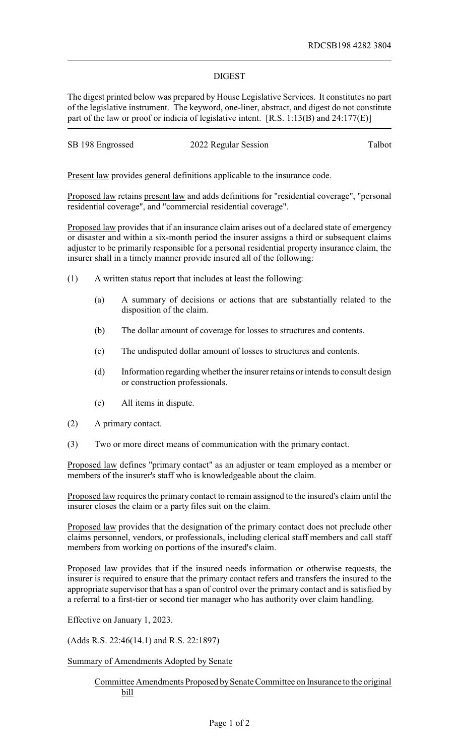## DIGEST

The digest printed below was prepared by House Legislative Services. It constitutes no part of the legislative instrument. The keyword, one-liner, abstract, and digest do not constitute part of the law or proof or indicia of legislative intent. [R.S. 1:13(B) and 24:177(E)]

| SB 198 Engrossed<br>2022 Regular Session | Talbot |
|------------------------------------------|--------|
|------------------------------------------|--------|

Present law provides general definitions applicable to the insurance code.

Proposed law retains present law and adds definitions for "residential coverage", "personal residential coverage", and "commercial residential coverage".

Proposed law provides that if an insurance claim arises out of a declared state of emergency or disaster and within a six-month period the insurer assigns a third or subsequent claims adjuster to be primarily responsible for a personal residential property insurance claim, the insurer shall in a timely manner provide insured all of the following:

- (1) A written status report that includes at least the following:
	- (a) A summary of decisions or actions that are substantially related to the disposition of the claim.
	- (b) The dollar amount of coverage for losses to structures and contents.
	- (c) The undisputed dollar amount of losses to structures and contents.
	- (d) Information regarding whether the insurer retains or intends to consult design or construction professionals.
	- (e) All items in dispute.
- (2) A primary contact.
- (3) Two or more direct means of communication with the primary contact.

Proposed law defines "primary contact" as an adjuster or team employed as a member or members of the insurer's staff who is knowledgeable about the claim.

Proposed law requires the primary contact to remain assigned to the insured's claim until the insurer closes the claim or a party files suit on the claim.

Proposed law provides that the designation of the primary contact does not preclude other claims personnel, vendors, or professionals, including clerical staff members and call staff members from working on portions of the insured's claim.

Proposed law provides that if the insured needs information or otherwise requests, the insurer is required to ensure that the primary contact refers and transfers the insured to the appropriate supervisor that has a span of control over the primary contact and is satisfied by a referral to a first-tier or second tier manager who has authority over claim handling.

Effective on January 1, 2023.

(Adds R.S. 22:46(14.1) and R.S. 22:1897)

Summary of Amendments Adopted by Senate

## Committee Amendments Proposed bySenate Committee on Insurance to the original bill